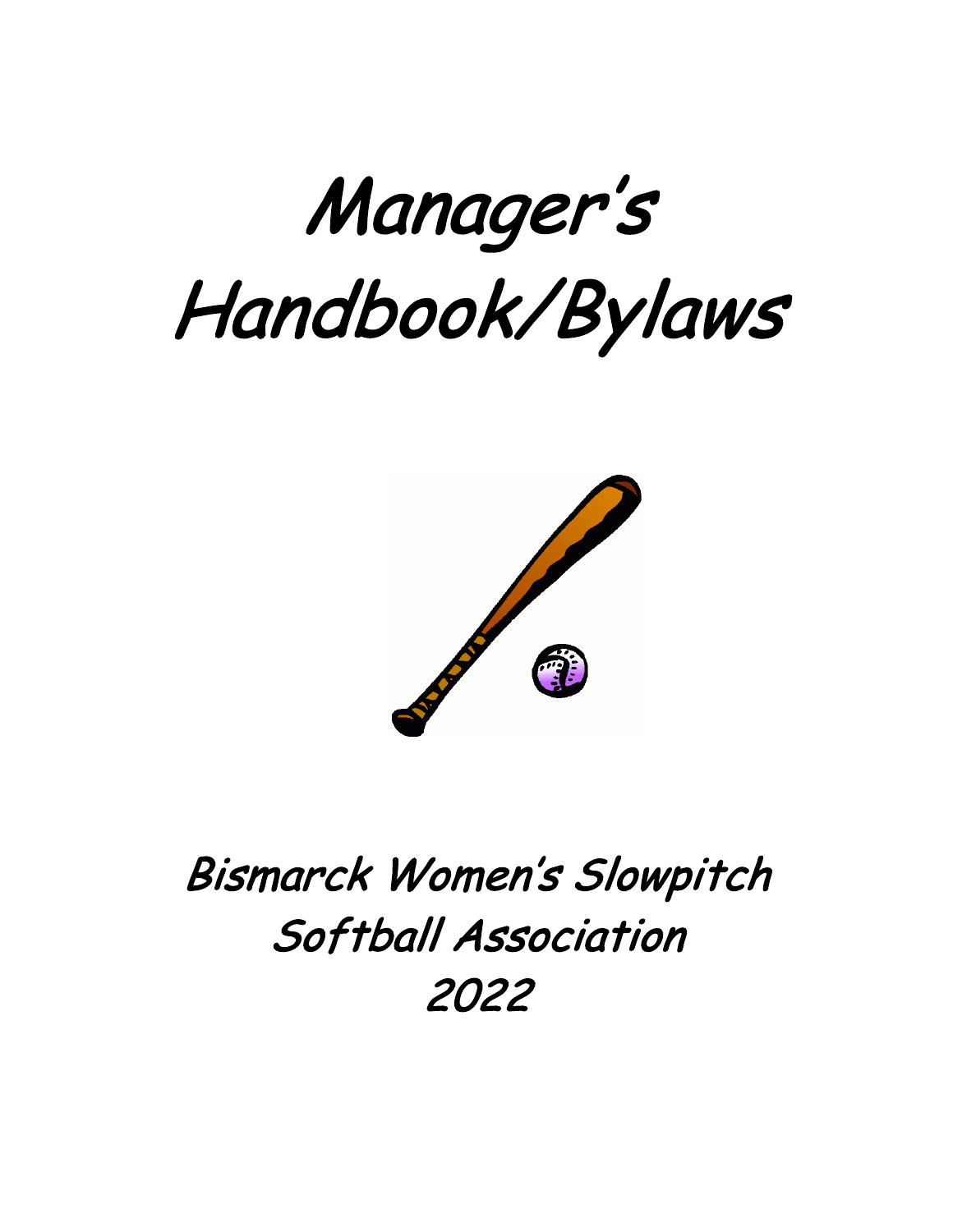



# Bismarck Women's Slowpitch Softball Association 2022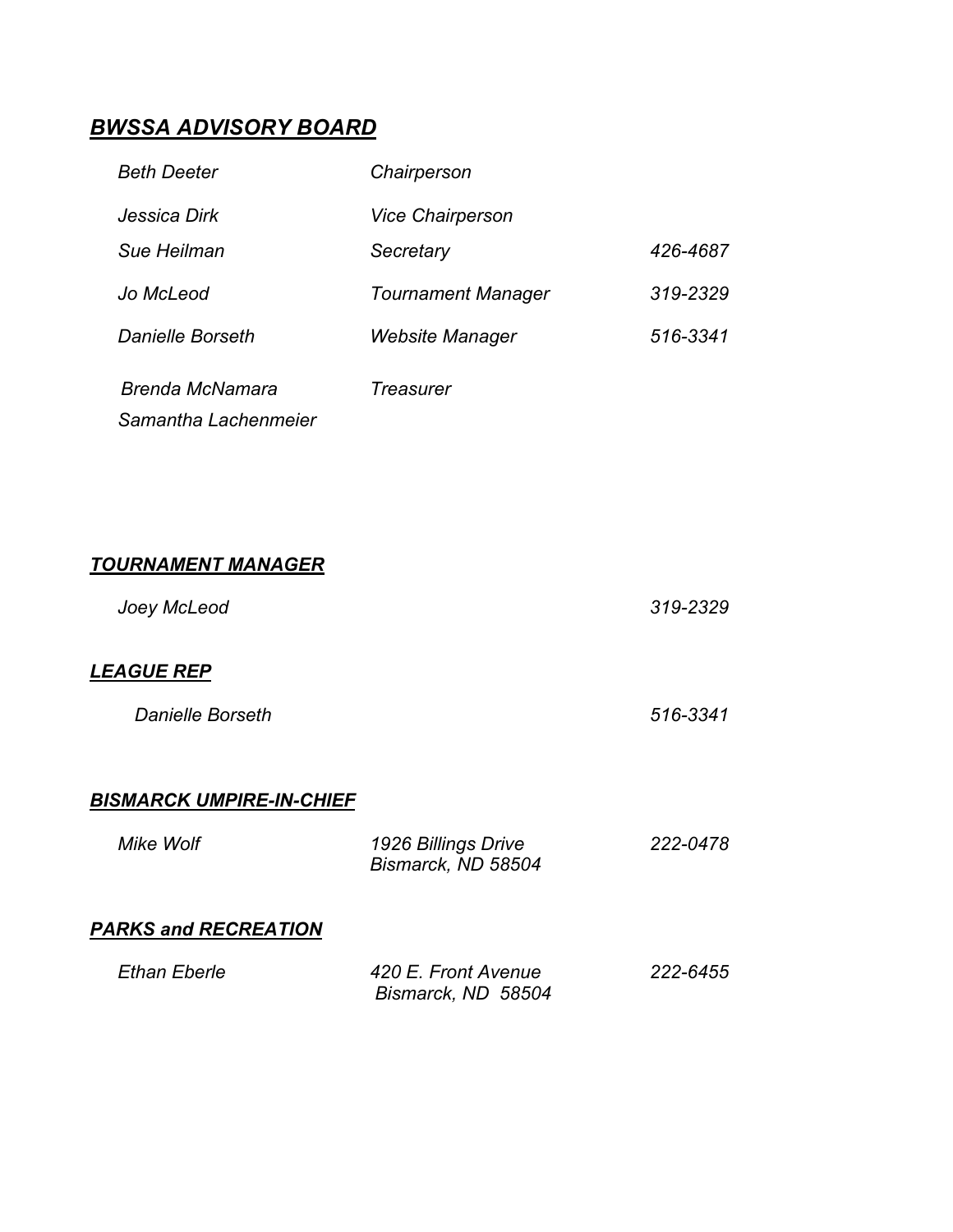# *BWSSA ADVISORY BOARD*

| <b>Beth Deeter</b>                      | Chairperson               |          |
|-----------------------------------------|---------------------------|----------|
| Jessica Dirk                            | <b>Vice Chairperson</b>   |          |
| Sue Heilman                             | Secretary                 | 426-4687 |
| Jo McLeod                               | <b>Tournament Manager</b> | 319-2329 |
| Danielle Borseth                        | Website Manager           | 516-3341 |
| Brenda McNamara<br>Samantha Lachenmeier | Treasurer                 |          |

# *TOURNAMENT MANAGER*

| Joey McLeod              | 319-2329 |
|--------------------------|----------|
| LEAGUE REP               |          |
| <b>Danielle Borseth</b>  | 516-3341 |
| DICMADOK HMDIDE IN OUICE |          |

#### *BISMARCK UMPIRE-IN-CHIEF*

| Mike Wolf                   | 1926 Billings Drive<br>Bismarck, ND 58504 | 222-0478 |
|-----------------------------|-------------------------------------------|----------|
| <b>PARKS and RECREATION</b> |                                           |          |

| Ethan Eberle | 420 E. Front Avenue | 222-6455 |
|--------------|---------------------|----------|
|              | Bismarck, ND 58504  |          |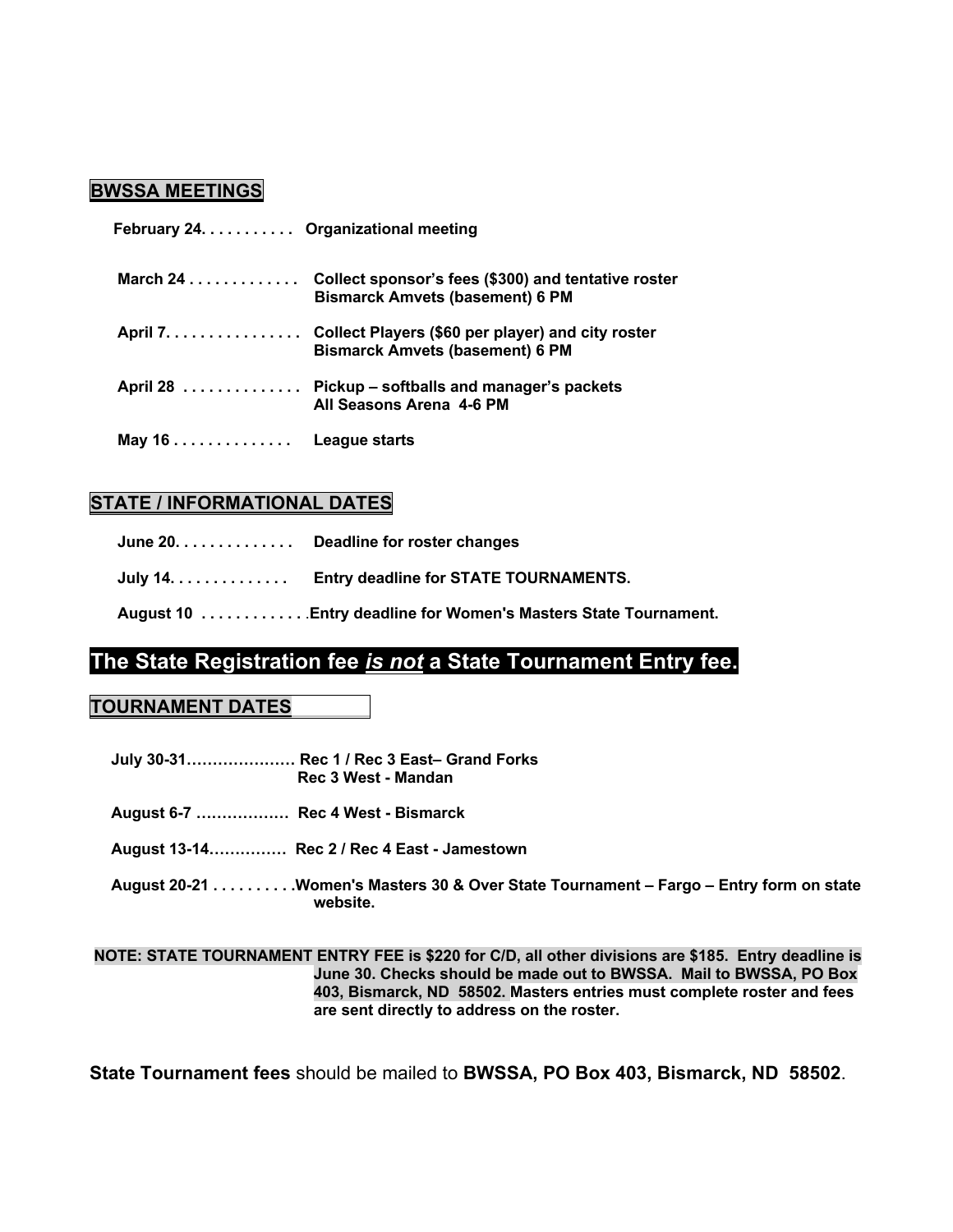#### **BWSSA MEETINGS**

| February 24. Organizational meeting |                                                                                                      |
|-------------------------------------|------------------------------------------------------------------------------------------------------|
| March $24$                          | Collect sponsor's fees (\$300) and tentative roster<br><b>Bismarck Amvets (basement) 6 PM</b>        |
|                                     | April 7. Collect Players (\$60 per player) and city roster<br><b>Bismarck Amvets (basement) 6 PM</b> |
|                                     | April 28 Pickup – softballs and manager's packets<br>All Seasons Arena 4-6 PM                        |
| May 16 $\dots\dots\dots\dots\dots$  | League starts                                                                                        |

#### **STATE / INFORMATIONAL DATES**

| June 20. Deadline for roster changes                           |
|----------------------------------------------------------------|
| July 14. Entry deadline for STATE TOURNAMENTS.                 |
| August 10 Entry deadline for Women's Masters State Tournament. |

# **The State Registration fee** *is not* **a State Tournament Entry fee.**

#### **TOURNAMENT DATES**

 **July 30-31………………… Rec 1 / Rec 3 East– Grand Forks Rec 3 West - Mandan** 

 **August 6-7 ……………… Rec 4 West - Bismarck**

 **August 13-14…………… Rec 2 / Rec 4 East - Jamestown**

 **August 20-21 . . . . . . . . . .Women's Masters 30 & Over State Tournament – Fargo – Entry form on state website.** 

**NOTE: STATE TOURNAMENT ENTRY FEE is \$220 for C/D, all other divisions are \$185. Entry deadline is June 30. Checks should be made out to BWSSA. Mail to BWSSA, PO Box 403, Bismarck, ND 58502. Masters entries must complete roster and fees are sent directly to address on the roster.** 

**State Tournament fees** should be mailed to **BWSSA, PO Box 403, Bismarck, ND 58502**.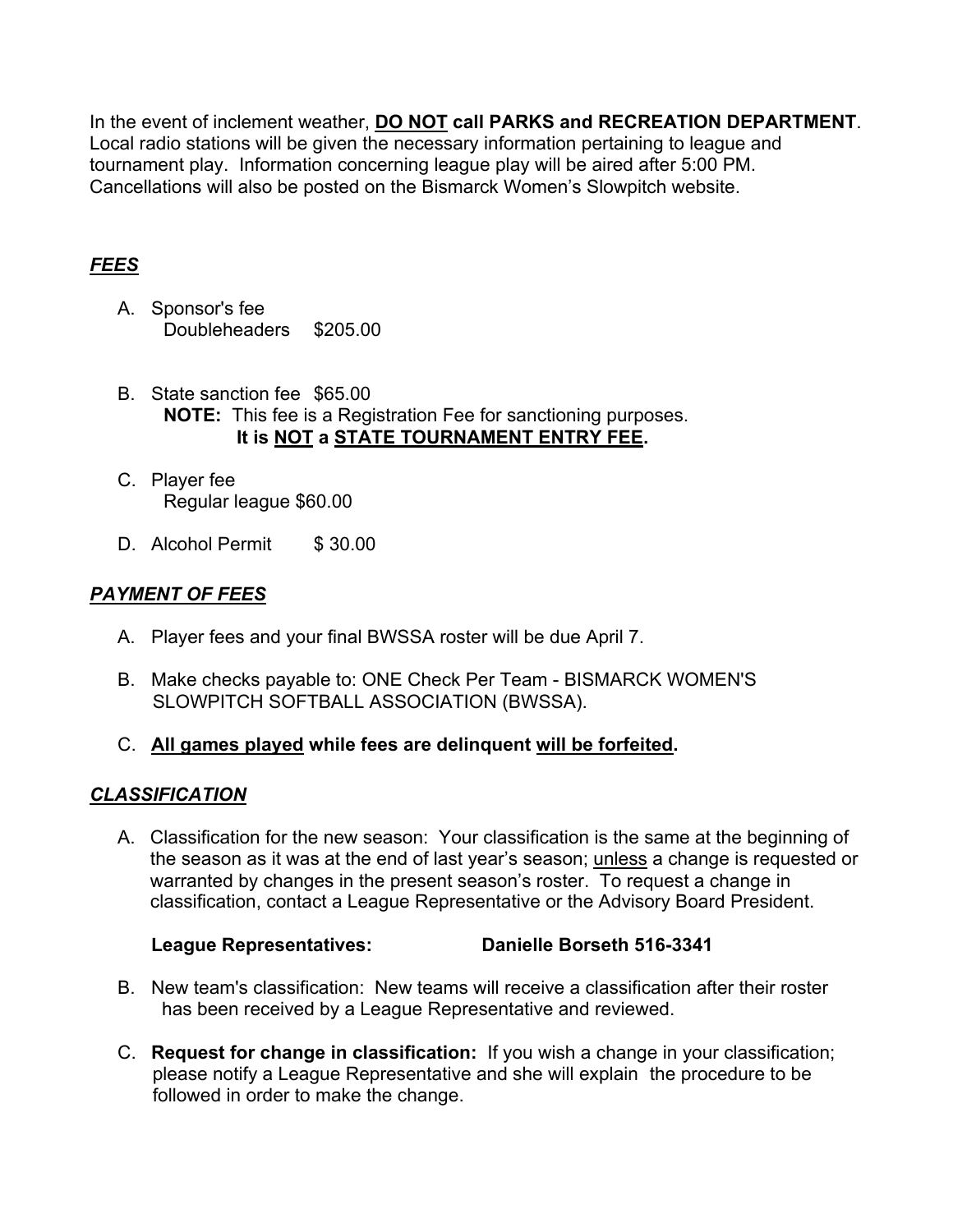In the event of inclement weather, **DO NOT call PARKS and RECREATION DEPARTMENT**. Local radio stations will be given the necessary information pertaining to league and tournament play. Information concerning league play will be aired after 5:00 PM. Cancellations will also be posted on the Bismarck Women's Slowpitch website.

#### *FEES*

- A. Sponsor's fee Doubleheaders \$205.00
- B. State sanction fee \$65.00 **NOTE:** This fee is a Registration Fee for sanctioning purposes. **It is NOT a STATE TOURNAMENT ENTRY FEE.**
- C. Player fee Regular league \$60.00
- D. Alcohol Permit \$ 30.00

# *PAYMENT OF FEES*

- A. Player fees and your final BWSSA roster will be due April 7.
- B. Make checks payable to: ONE Check Per Team BISMARCK WOMEN'S SLOWPITCH SOFTBALL ASSOCIATION (BWSSA).
- C. **All games played while fees are delinquent will be forfeited.**

#### *CLASSIFICATION*

A. Classification for the new season: Your classification is the same at the beginning of the season as it was at the end of last year's season; unless a change is requested or warranted by changes in the present season's roster. To request a change in classification, contact a League Representative or the Advisory Board President.

#### **League Representatives: Danielle Borseth 516-3341**

- B. New team's classification: New teams will receive a classification after their roster has been received by a League Representative and reviewed.
- C. **Request for change in classification:** If you wish a change in your classification; please notify a League Representative and she will explain the procedure to be followed in order to make the change.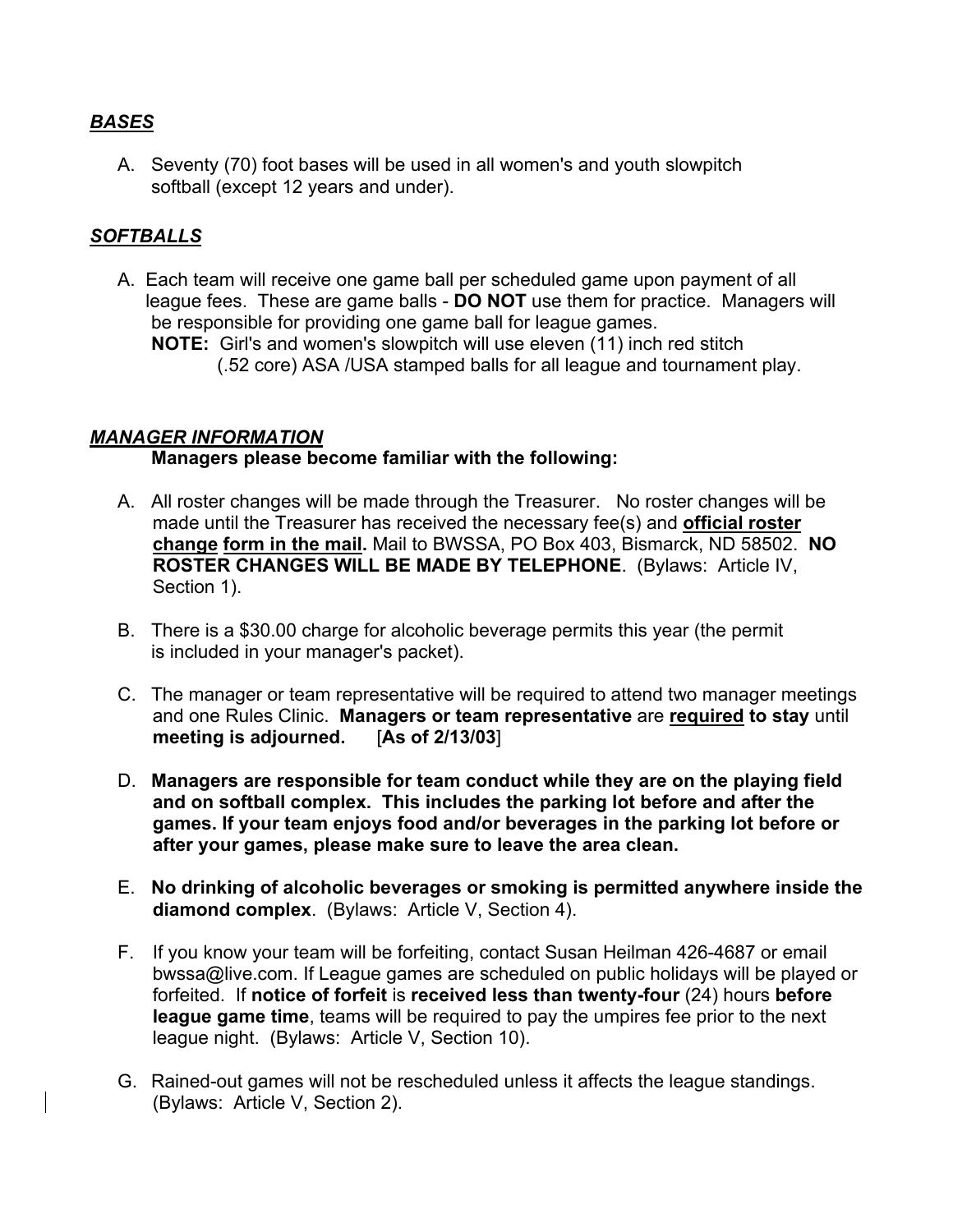#### *BASES*

A. Seventy (70) foot bases will be used in all women's and youth slowpitch softball (except 12 years and under).

#### *SOFTBALLS*

A. Each team will receive one game ball per scheduled game upon payment of all league fees. These are game balls - **DO NOT** use them for practice. Managers will be responsible for providing one game ball for league games. **NOTE:** Girl's and women's slowpitch will use eleven (11) inch red stitch (.52 core) ASA /USA stamped balls for all league and tournament play.

#### *MANAGER INFORMATION*

#### **Managers please become familiar with the following:**

- A. All roster changes will be made through the Treasurer. No roster changes will be made until the Treasurer has received the necessary fee(s) and **official roster change form in the mail.** Mail to BWSSA, PO Box 403, Bismarck, ND 58502. **NO ROSTER CHANGES WILL BE MADE BY TELEPHONE**. (Bylaws: Article IV, Section 1).
- B. There is a \$30.00 charge for alcoholic beverage permits this year (the permit is included in your manager's packet).
- C. The manager or team representative will be required to attend two manager meetings and one Rules Clinic. **Managers or team representative** are **required to stay** until **meeting is adjourned.** [**As of 2/13/03**]
- D. **Managers are responsible for team conduct while they are on the playing field and on softball complex. This includes the parking lot before and after the games. If your team enjoys food and/or beverages in the parking lot before or after your games, please make sure to leave the area clean.**
- E. **No drinking of alcoholic beverages or smoking is permitted anywhere inside the diamond complex**. (Bylaws: Article V, Section 4).
- F. If you know your team will be forfeiting, contact Susan Heilman 426-4687 or email bwssa@live.com. If League games are scheduled on public holidays will be played or forfeited. If **notice of forfeit** is **received less than twenty-four** (24) hours **before league game time**, teams will be required to pay the umpires fee prior to the next league night. (Bylaws: Article V, Section 10).
- G. Rained-out games will not be rescheduled unless it affects the league standings. (Bylaws: Article V, Section 2).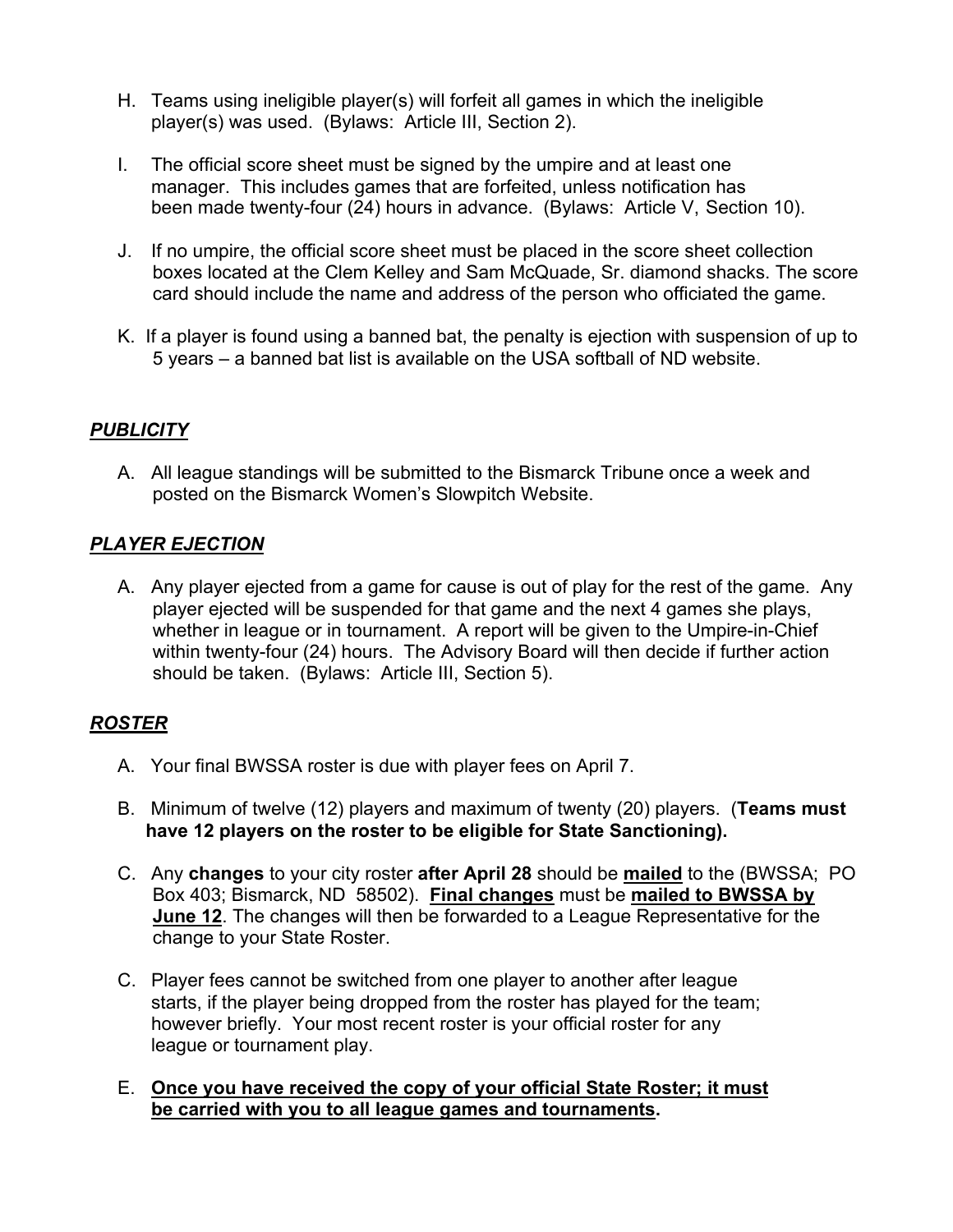- H. Teams using ineligible player(s) will forfeit all games in which the ineligible player(s) was used. (Bylaws: Article III, Section 2).
- I. The official score sheet must be signed by the umpire and at least one manager. This includes games that are forfeited, unless notification has been made twenty-four (24) hours in advance. (Bylaws: Article V, Section 10).
- J. If no umpire, the official score sheet must be placed in the score sheet collection boxes located at the Clem Kelley and Sam McQuade, Sr. diamond shacks. The score card should include the name and address of the person who officiated the game.
- K. If a player is found using a banned bat, the penalty is ejection with suspension of up to 5 years – a banned bat list is available on the USA softball of ND website.

#### *PUBLICITY*

A. All league standings will be submitted to the Bismarck Tribune once a week and posted on the Bismarck Women's Slowpitch Website.

#### *PLAYER EJECTION*

A. Any player ejected from a game for cause is out of play for the rest of the game. Any player ejected will be suspended for that game and the next 4 games she plays, whether in league or in tournament. A report will be given to the Umpire-in-Chief within twenty-four (24) hours. The Advisory Board will then decide if further action should be taken. (Bylaws: Article III, Section 5).

# *ROSTER*

- A. Your final BWSSA roster is due with player fees on April 7.
- B. Minimum of twelve (12) players and maximum of twenty (20) players. (**Teams must have 12 players on the roster to be eligible for State Sanctioning).**
- C. Any **changes** to your city roster **after April 28** should be **mailed** to the (BWSSA; PO Box 403; Bismarck, ND 58502). **Final changes** must be **mailed to BWSSA by June 12**. The changes will then be forwarded to a League Representative for the change to your State Roster.
- C. Player fees cannot be switched from one player to another after league starts, if the player being dropped from the roster has played for the team; however briefly. Your most recent roster is your official roster for any league or tournament play.

#### E. **Once you have received the copy of your official State Roster; it must be carried with you to all league games and tournaments.**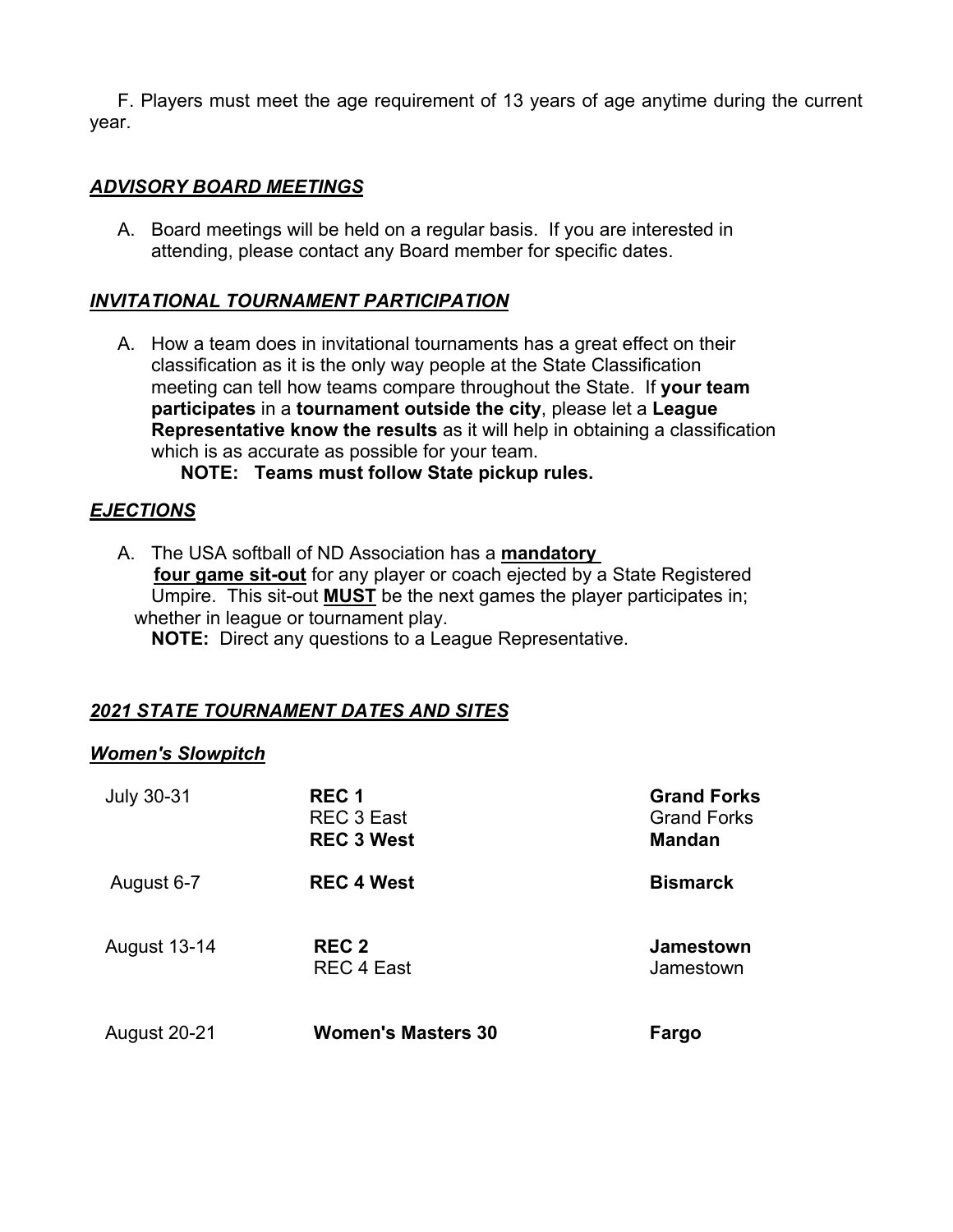F. Players must meet the age requirement of 13 years of age anytime during the current year.

#### *ADVISORY BOARD MEETINGS*

A. Board meetings will be held on a regular basis. If you are interested in attending, please contact any Board member for specific dates.

#### *INVITATIONAL TOURNAMENT PARTICIPATION*

A. How a team does in invitational tournaments has a great effect on their classification as it is the only way people at the State Classification meeting can tell how teams compare throughout the State. If **your team participates** in a **tournament outside the city**, please let a **League Representative know the results** as it will help in obtaining a classification which is as accurate as possible for your team.

#### **NOTE: Teams must follow State pickup rules.**

#### *EJECTIONS*

A. The USA softball of ND Association has a **mandatory four game sit-out** for any player or coach ejected by a State Registered Umpire. This sit-out **MUST** be the next games the player participates in; whether in league or tournament play. **NOTE:** Direct any questions to a League Representative.

#### *2021 STATE TOURNAMENT DATES AND SITES*

#### *Women's Slowpitch*

| <b>July 30-31</b>   | REC <sub>1</sub><br>REC 3 East<br><b>REC 3 West</b> | <b>Grand Forks</b><br><b>Grand Forks</b><br><b>Mandan</b> |
|---------------------|-----------------------------------------------------|-----------------------------------------------------------|
| August 6-7          | <b>REC 4 West</b>                                   | <b>Bismarck</b>                                           |
| <b>August 13-14</b> | <b>REC 2</b><br><b>REC 4 East</b>                   | <b>Jamestown</b><br>Jamestown                             |
| <b>August 20-21</b> | <b>Women's Masters 30</b>                           | Fargo                                                     |